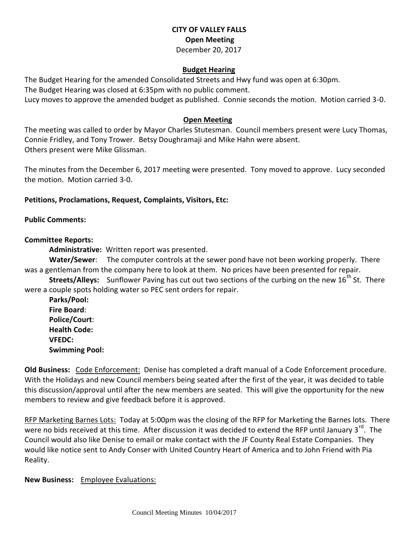# **CITY OF VALLEY FALLS Open Meeting** December 20, 2017

#### **Budget Hearing**

The Budget Hearing for the amended Consolidated Streets and Hwy fund was open at 6:30pm.

The Budget Hearing was closed at 6:35pm with no public comment.

Lucy moves to approve the amended budget as published. Connie seconds the motion. Motion carried 3-0.

### **Open Meeting**

The meeting was called to order by Mayor Charles Stutesman. Council members present were Lucy Thomas, Connie Fridley, and Tony Trower. Betsy Doughramaji and Mike Hahn were absent. Others present were Mike Glissman.

The minutes from the December 6, 2017 meeting were presented. Tony moved to approve. Lucy seconded the motion. Motion carried 3-0.

### **Petitions, Proclamations, Request, Complaints, Visitors, Etc:**

### **Public Comments:**

# **Committee Reports:**

**Administrative:** Written report was presented.

**Water/Sewer**: The computer controls at the sewer pond have not been working properly. There was a gentleman from the company here to look at them. No prices have been presented for repair.

**Streets/Alleys:** Sunflower Paving has cut out two sections of the curbing on the new 16<sup>th</sup> St. There were a couple spots holding water so PEC sent orders for repair.

**Parks/Pool: Fire Board**: **Police/Court**: **Health Code: VFEDC: Swimming Pool:** 

**Old Business:** Code Enforcement: Denise has completed a draft manual of a Code Enforcement procedure. With the Holidays and new Council members being seated after the first of the year, it was decided to table this discussion/approval until after the new members are seated. This will give the opportunity for the new members to review and give feedback before it is approved.

RFP Marketing Barnes Lots: Today at 5:00pm was the closing of the RFP for Marketing the Barnes lots. There were no bids received at this time. After discussion it was decided to extend the RFP until January 3<sup>rd</sup>. The Council would also like Denise to email or make contact with the JF County Real Estate Companies. They would like notice sent to Andy Conser with United Country Heart of America and to John Friend with Pia Reality.

**New Business:** Employee Evaluations: